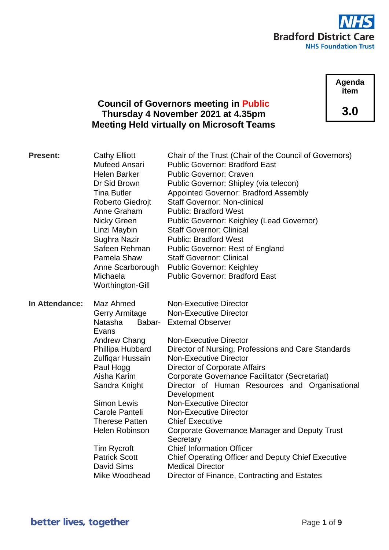

**Agenda item 3.0**

# **Council of Governors meeting in Public Thursday 4 November 2021 at 4.35pm Meeting Held virtually on Microsoft Teams**

| <b>Present:</b> | <b>Cathy Elliott</b><br>Mufeed Ansari<br><b>Helen Barker</b><br>Dr Sid Brown<br><b>Tina Butler</b><br>Roberto Giedrojt<br>Anne Graham<br>Nicky Green<br>Linzi Maybin<br>Sughra Nazir<br>Safeen Rehman<br>Pamela Shaw<br>Anne Scarborough<br>Michaela<br>Worthington-Gill                                                                     | Chair of the Trust (Chair of the Council of Governors)<br><b>Public Governor: Bradford East</b><br><b>Public Governor: Craven</b><br>Public Governor: Shipley (via telecon)<br><b>Appointed Governor: Bradford Assembly</b><br><b>Staff Governor: Non-clinical</b><br><b>Public: Bradford West</b><br>Public Governor: Keighley (Lead Governor)<br><b>Staff Governor: Clinical</b><br><b>Public: Bradford West</b><br><b>Public Governor: Rest of England</b><br><b>Staff Governor: Clinical</b><br><b>Public Governor: Keighley</b><br><b>Public Governor: Bradford East</b>                                                                                                                                               |
|-----------------|----------------------------------------------------------------------------------------------------------------------------------------------------------------------------------------------------------------------------------------------------------------------------------------------------------------------------------------------|-----------------------------------------------------------------------------------------------------------------------------------------------------------------------------------------------------------------------------------------------------------------------------------------------------------------------------------------------------------------------------------------------------------------------------------------------------------------------------------------------------------------------------------------------------------------------------------------------------------------------------------------------------------------------------------------------------------------------------|
| In Attendance:  | Maz Ahmed<br><b>Gerry Armitage</b><br>Natasha<br>Babar-<br>Evans<br><b>Andrew Chang</b><br>Phillipa Hubbard<br>Zulfiqar Hussain<br>Paul Hogg<br>Aisha Karim<br>Sandra Knight<br><b>Simon Lewis</b><br>Carole Panteli<br><b>Therese Patten</b><br><b>Helen Robinson</b><br>Tim Rycroft<br><b>Patrick Scott</b><br>David Sims<br>Mike Woodhead | <b>Non-Executive Director</b><br><b>Non-Executive Director</b><br><b>External Observer</b><br><b>Non-Executive Director</b><br>Director of Nursing, Professions and Care Standards<br><b>Non-Executive Director</b><br><b>Director of Corporate Affairs</b><br>Corporate Governance Facilitator (Secretariat)<br>Director of Human Resources and Organisational<br>Development<br><b>Non-Executive Director</b><br><b>Non-Executive Director</b><br><b>Chief Executive</b><br><b>Corporate Governance Manager and Deputy Trust</b><br>Secretary<br><b>Chief Information Officer</b><br><b>Chief Operating Officer and Deputy Chief Executive</b><br><b>Medical Director</b><br>Director of Finance, Contracting and Estates |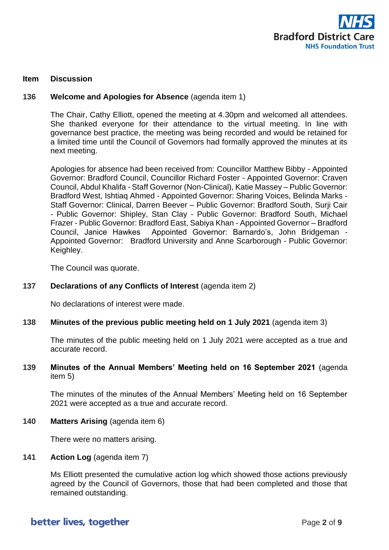

#### **Item Discussion**

### **136 Welcome and Apologies for Absence** (agenda item 1)

The Chair, Cathy Elliott, opened the meeting at 4.30pm and welcomed all attendees. She thanked everyone for their attendance to the virtual meeting. In line with governance best practice, the meeting was being recorded and would be retained for a limited time until the Council of Governors had formally approved the minutes at its next meeting.

Apologies for absence had been received from: Councillor Matthew Bibby - Appointed Governor: Bradford Council, Councillor Richard Foster - Appointed Governor: Craven Council, Abdul Khalifa - Staff Governor (Non-Clinical), Katie Massey – Public Governor: Bradford West, Ishtiaq Ahmed - Appointed Governor: Sharing Voices, Belinda Marks - Staff Governor: Clinical, Darren Beever – Public Governor: Bradford South, Surji Cair - Public Governor: Shipley, Stan Clay - Public Governor: Bradford South, Michael Frazer - Public Governor: Bradford East, Sabiya Khan - Appointed Governor – Bradford Council, Janice Hawkes Appointed Governor: Barnardo's, John Bridgeman - Appointed Governor: Bradford University and Anne Scarborough - Public Governor: Keighley.

The Council was quorate.

### **137 Declarations of any Conflicts of Interest** (agenda item 2)

No declarations of interest were made.

**138 Minutes of the previous public meeting held on 1 July 2021** (agenda item 3)

The minutes of the public meeting held on 1 July 2021 were accepted as a true and accurate record.

### **139 Minutes of the Annual Members' Meeting held on 16 September 2021** (agenda item 5)

The minutes of the minutes of the Annual Members' Meeting held on 16 September 2021 were accepted as a true and accurate record.

**140 Matters Arising** (agenda item 6)

There were no matters arising.

#### **141 Action Log** (agenda item 7)

Ms Elliott presented the cumulative action log which showed those actions previously agreed by the Council of Governors, those that had been completed and those that remained outstanding.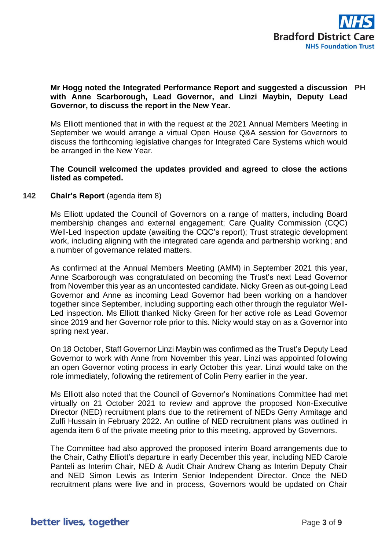

## **Mr Hogg noted the Integrated Performance Report and suggested a discussion PH with Anne Scarborough, Lead Governor, and Linzi Maybin, Deputy Lead Governor, to discuss the report in the New Year.**

Ms Elliott mentioned that in with the request at the 2021 Annual Members Meeting in September we would arrange a virtual Open House Q&A session for Governors to discuss the forthcoming legislative changes for Integrated Care Systems which would be arranged in the New Year.

## **The Council welcomed the updates provided and agreed to close the actions listed as competed.**

## **142 Chair's Report** (agenda item 8)

Ms Elliott updated the Council of Governors on a range of matters, including Board membership changes and external engagement; Care Quality Commission (CQC) Well-Led Inspection update (awaiting the CQC's report); Trust strategic development work, including aligning with the integrated care agenda and partnership working; and a number of governance related matters.

As confirmed at the Annual Members Meeting (AMM) in September 2021 this year, Anne Scarborough was congratulated on becoming the Trust's next Lead Governor from November this year as an uncontested candidate. Nicky Green as out-going Lead Governor and Anne as incoming Lead Governor had been working on a handover together since September, including supporting each other through the regulator Well-Led inspection. Ms Elliott thanked Nicky Green for her active role as Lead Governor since 2019 and her Governor role prior to this. Nicky would stay on as a Governor into spring next year.

On 18 October, Staff Governor Linzi Maybin was confirmed as the Trust's Deputy Lead Governor to work with Anne from November this year. Linzi was appointed following an open Governor voting process in early October this year. Linzi would take on the role immediately, following the retirement of Colin Perry earlier in the year.

Ms Elliott also noted that the Council of Governor's Nominations Committee had met virtually on 21 October 2021 to review and approve the proposed Non-Executive Director (NED) recruitment plans due to the retirement of NEDs Gerry Armitage and Zulfi Hussain in February 2022. An outline of NED recruitment plans was outlined in agenda item 6 of the private meeting prior to this meeting, approved by Governors.

The Committee had also approved the proposed interim Board arrangements due to the Chair, Cathy Elliott's departure in early December this year, including NED Carole Panteli as Interim Chair, NED & Audit Chair Andrew Chang as Interim Deputy Chair and NED Simon Lewis as Interim Senior Independent Director. Once the NED recruitment plans were live and in process, Governors would be updated on Chair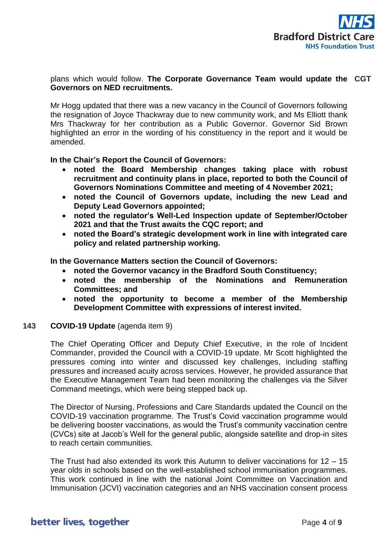

## plans which would follow. **The Corporate Governance Team would update the CGT Governors on NED recruitments.**

Mr Hogg updated that there was a new vacancy in the Council of Governors following the resignation of Joyce Thackwray due to new community work, and Ms Elliott thank Mrs Thackwray for her contribution as a Public Governor. Governor Sid Brown highlighted an error in the wording of his constituency in the report and it would be amended.

**In the Chair's Report the Council of Governors:**

- **noted the Board Membership changes taking place with robust recruitment and continuity plans in place, reported to both the Council of Governors Nominations Committee and meeting of 4 November 2021;**
- **noted the Council of Governors update, including the new Lead and Deputy Lead Governors appointed;**
- **noted the regulator's Well-Led Inspection update of September/October 2021 and that the Trust awaits the CQC report; and**
- **noted the Board's strategic development work in line with integrated care policy and related partnership working.**

**In the Governance Matters section the Council of Governors:**

- **noted the Governor vacancy in the Bradford South Constituency;**
- **noted the membership of the Nominations and Remuneration Committees; and**
- **noted the opportunity to become a member of the Membership Development Committee with expressions of interest invited.**

## **143 COVID-19 Update** (agenda item 9)

The Chief Operating Officer and Deputy Chief Executive, in the role of Incident Commander, provided the Council with a COVID-19 update. Mr Scott highlighted the pressures coming into winter and discussed key challenges, including staffing pressures and increased acuity across services. However, he provided assurance that the Executive Management Team had been monitoring the challenges via the Silver Command meetings, which were being stepped back up.

The Director of Nursing, Professions and Care Standards updated the Council on the COVID-19 vaccination programme. The Trust's Covid vaccination programme would be delivering booster vaccinations, as would the Trust's community vaccination centre (CVCs) site at Jacob's Well for the general public, alongside satellite and drop-in sites to reach certain communities.

The Trust had also extended its work this Autumn to deliver vaccinations for 12 – 15 year olds in schools based on the well-established school immunisation programmes. This work continued in line with the national Joint Committee on Vaccination and Immunisation (JCVI) vaccination categories and an NHS vaccination consent process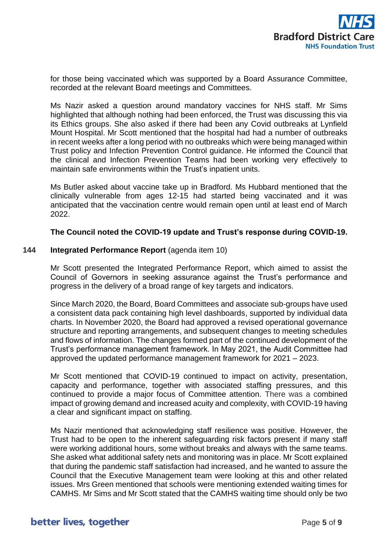

for those being vaccinated which was supported by a Board Assurance Committee, recorded at the relevant Board meetings and Committees.

Ms Nazir asked a question around mandatory vaccines for NHS staff. Mr Sims highlighted that although nothing had been enforced, the Trust was discussing this via its Ethics groups. She also asked if there had been any Covid outbreaks at Lynfield Mount Hospital. Mr Scott mentioned that the hospital had had a number of outbreaks in recent weeks after a long period with no outbreaks which were being managed within Trust policy and Infection Prevention Control guidance. He informed the Council that the clinical and Infection Prevention Teams had been working very effectively to maintain safe environments within the Trust's inpatient units.

Ms Butler asked about vaccine take up in Bradford. Ms Hubbard mentioned that the clinically vulnerable from ages 12-15 had started being vaccinated and it was anticipated that the vaccination centre would remain open until at least end of March 2022.

### **The Council noted the COVID-19 update and Trust's response during COVID-19.**

### **144 Integrated Performance Report** (agenda item 10)

Mr Scott presented the Integrated Performance Report, which aimed to assist the Council of Governors in seeking assurance against the Trust's performance and progress in the delivery of a broad range of key targets and indicators.

Since March 2020, the Board, Board Committees and associate sub-groups have used a consistent data pack containing high level dashboards, supported by individual data charts. In November 2020, the Board had approved a revised operational governance structure and reporting arrangements, and subsequent changes to meeting schedules and flows of information. The changes formed part of the continued development of the Trust's performance management framework. In May 2021, the Audit Committee had approved the updated performance management framework for 2021 – 2023.

Mr Scott mentioned that COVID-19 continued to impact on activity, presentation, capacity and performance, together with associated staffing pressures, and this continued to provide a major focus of Committee attention. There was a combined impact of growing demand and increased acuity and complexity, with COVID-19 having a clear and significant impact on staffing.

Ms Nazir mentioned that acknowledging staff resilience was positive. However, the Trust had to be open to the inherent safeguarding risk factors present if many staff were working additional hours, some without breaks and always with the same teams. She asked what additional safety nets and monitoring was in place. Mr Scott explained that during the pandemic staff satisfaction had increased, and he wanted to assure the Council that the Executive Management team were looking at this and other related issues. Mrs Green mentioned that schools were mentioning extended waiting times for CAMHS. Mr Sims and Mr Scott stated that the CAMHS waiting time should only be two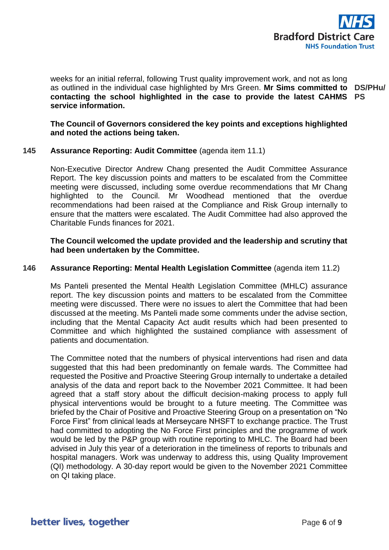

weeks for an initial referral, following Trust quality improvement work, and not as long as outlined in the individual case highlighted by Mrs Green. **Mr Sims committed to contacting the school highlighted in the case to provide the latest CAHMS PS service information. DS/PHu/**

**The Council of Governors considered the key points and exceptions highlighted and noted the actions being taken.**

## **145 Assurance Reporting: Audit Committee** (agenda item 11.1)

Non-Executive Director Andrew Chang presented the Audit Committee Assurance Report. The key discussion points and matters to be escalated from the Committee meeting were discussed, including some overdue recommendations that Mr Chang highlighted to the Council. Mr Woodhead mentioned that the overdue recommendations had been raised at the Compliance and Risk Group internally to ensure that the matters were escalated. The Audit Committee had also approved the Charitable Funds finances for 2021.

## **The Council welcomed the update provided and the leadership and scrutiny that had been undertaken by the Committee.**

#### **146 Assurance Reporting: Mental Health Legislation Committee** (agenda item 11.2)

Ms Panteli presented the Mental Health Legislation Committee (MHLC) assurance report. The key discussion points and matters to be escalated from the Committee meeting were discussed. There were no issues to alert the Committee that had been discussed at the meeting. Ms Panteli made some comments under the advise section, including that the Mental Capacity Act audit results which had been presented to Committee and which highlighted the sustained compliance with assessment of patients and documentation.

The Committee noted that the numbers of physical interventions had risen and data suggested that this had been predominantly on female wards. The Committee had requested the Positive and Proactive Steering Group internally to undertake a detailed analysis of the data and report back to the November 2021 Committee. It had been agreed that a staff story about the difficult decision-making process to apply full physical interventions would be brought to a future meeting. The Committee was briefed by the Chair of Positive and Proactive Steering Group on a presentation on "No Force First" from clinical leads at Merseycare NHSFT to exchange practice. The Trust had committed to adopting the No Force First principles and the programme of work would be led by the P&P group with routine reporting to MHLC. The Board had been advised in July this year of a deterioration in the timeliness of reports to tribunals and hospital managers. Work was underway to address this, using Quality Improvement (QI) methodology. A 30-day report would be given to the November 2021 Committee on QI taking place.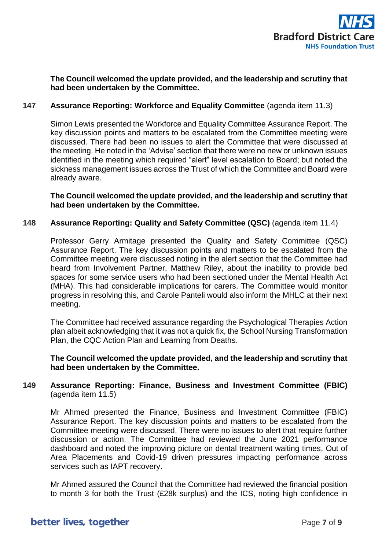

**The Council welcomed the update provided, and the leadership and scrutiny that had been undertaken by the Committee.**

## **147 Assurance Reporting: Workforce and Equality Committee** (agenda item 11.3)

Simon Lewis presented the Workforce and Equality Committee Assurance Report. The key discussion points and matters to be escalated from the Committee meeting were discussed. There had been no issues to alert the Committee that were discussed at the meeting. He noted in the 'Advise' section that there were no new or unknown issues identified in the meeting which required "alert" level escalation to Board; but noted the sickness management issues across the Trust of which the Committee and Board were already aware.

**The Council welcomed the update provided, and the leadership and scrutiny that had been undertaken by the Committee.**

### **148 Assurance Reporting: Quality and Safety Committee (QSC)** (agenda item 11.4)

Professor Gerry Armitage presented the Quality and Safety Committee (QSC) Assurance Report. The key discussion points and matters to be escalated from the Committee meeting were discussed noting in the alert section that the Committee had heard from Involvement Partner, Matthew Riley, about the inability to provide bed spaces for some service users who had been sectioned under the Mental Health Act (MHA). This had considerable implications for carers. The Committee would monitor progress in resolving this, and Carole Panteli would also inform the MHLC at their next meeting.

The Committee had received assurance regarding the Psychological Therapies Action plan albeit acknowledging that it was not a quick fix, the School Nursing Transformation Plan, the CQC Action Plan and Learning from Deaths.

**The Council welcomed the update provided, and the leadership and scrutiny that had been undertaken by the Committee.**

## **149 Assurance Reporting: Finance, Business and Investment Committee (FBIC)** (agenda item 11.5)

Mr Ahmed presented the Finance, Business and Investment Committee (FBIC) Assurance Report. The key discussion points and matters to be escalated from the Committee meeting were discussed. There were no issues to alert that require further discussion or action. The Committee had reviewed the June 2021 performance dashboard and noted the improving picture on dental treatment waiting times, Out of Area Placements and Covid-19 driven pressures impacting performance across services such as IAPT recovery.

Mr Ahmed assured the Council that the Committee had reviewed the financial position to month 3 for both the Trust (£28k surplus) and the ICS, noting high confidence in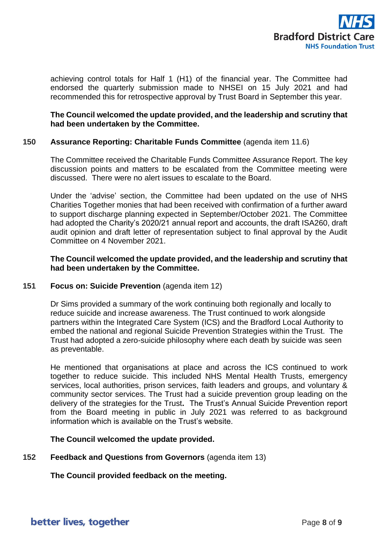

achieving control totals for Half 1 (H1) of the financial year. The Committee had endorsed the quarterly submission made to NHSEI on 15 July 2021 and had recommended this for retrospective approval by Trust Board in September this year.

## **The Council welcomed the update provided, and the leadership and scrutiny that had been undertaken by the Committee.**

### **150 Assurance Reporting: Charitable Funds Committee** (agenda item 11.6)

The Committee received the Charitable Funds Committee Assurance Report. The key discussion points and matters to be escalated from the Committee meeting were discussed. There were no alert issues to escalate to the Board.

Under the 'advise' section, the Committee had been updated on the use of NHS Charities Together monies that had been received with confirmation of a further award to support discharge planning expected in September/October 2021. The Committee had adopted the Charity's 2020/21 annual report and accounts, the draft ISA260, draft audit opinion and draft letter of representation subject to final approval by the Audit Committee on 4 November 2021.

## **The Council welcomed the update provided, and the leadership and scrutiny that had been undertaken by the Committee.**

### **151 Focus on: Suicide Prevention** (agenda item 12)

Dr Sims provided a summary of the work continuing both regionally and locally to reduce suicide and increase awareness. The Trust continued to work alongside partners within the Integrated Care System (ICS) and the Bradford Local Authority to embed the national and regional Suicide Prevention Strategies within the Trust. The Trust had adopted a zero-suicide philosophy where each death by suicide was seen as preventable.

He mentioned that organisations at place and across the ICS continued to work together to reduce suicide. This included NHS Mental Health Trusts, emergency services, local authorities, prison services, faith leaders and groups, and voluntary & community sector services. The Trust had a suicide prevention group leading on the delivery of the strategies for the Trust**.** The Trust's Annual Suicide Prevention report from the Board meeting in public in July 2021 was referred to as background information which is available on the Trust's website.

## **The Council welcomed the update provided.**

### **152 Feedback and Questions from Governors** (agenda item 13)

## **The Council provided feedback on the meeting.**